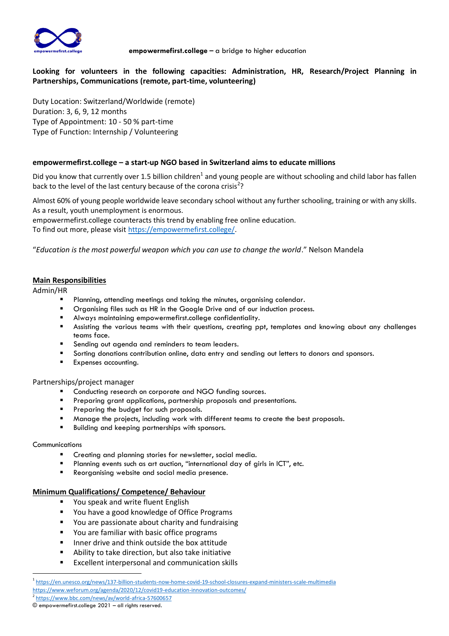

# **Looking for volunteers in the following capacities: Administration, HR, Research/Project Planning in Partnerships, Communications (remote, part-time, volunteering)**

Duty Location: Switzerland/Worldwide (remote) Duration: 3, 6, 9, 12 months Type of Appointment: 10 - 50 % part-time Type of Function: Internship / Volunteering

## **empowermefirst.college – a start-up NGO based in Switzerland aims to educate millions**

Did you know that currently over 1.5 billion children<sup>1</sup> and young people are without schooling and child labor has fallen back to the level of the last century because of the corona crisis<sup>2</sup>?

Almost 60% of young people worldwide leave secondary school without any further schooling, training or with any skills. As a result, youth unemployment is enormous.

empowermefirst.college counteracts this trend by enabling free online education.

To find out more, please visi[t https://empowermefirst.college/.](https://empowermefirst.college/)

"*Education is the most powerful weapon which you can use to change the world*." Nelson Mandela

## **Main Responsibilities**

Admin/HR

- Planning, attending meetings and taking the minutes, organising calendar.
- **■** Organising files such as HR in the Google Drive and of our induction process.
- Always maintaining empowermefirst.college confidentiality.
- Assisting the various teams with their questions, creating ppt, templates and knowing about any challenges teams face.
- Sending out agenda and reminders to team leaders.
- Sorting donations contribution online, data entry and sending out letters to donors and sponsors.
- Expenses accounting.

#### Partnerships/project manager

- Conducting research on corporate and NGO funding sources.
- Preparing grant applications, partnership proposals and presentations.
- **•** Preparing the budget for such proposals.
- Manage the projects, including work with different teams to create the best proposals.
- Building and keeping partnerships with sponsors.

#### **Communications**

- **E** Creating and planning stories for newsletter, social media.
- Planning events such as art auction, "international day of girls in ICT", etc.
- Reorganising website and social media presence.

## **Minimum Qualifications/ Competence/ Behaviour**

- You speak and write fluent English
- You have a good knowledge of Office Programs
- You are passionate about charity and fundraising
- You are familiar with basic office programs
- Inner drive and think outside the box attitude
- Ability to take direction, but also take initiative
- Excellent interpersonal and communication skills

<sup>1</sup> <https://en.unesco.org/news/137-billion-students-now-home-covid-19-school-closures-expand-ministers-scale-multimedia> <https://www.weforum.org/agenda/2020/12/covid19-education-innovation-outcomes/>

<sup>2</sup> <https://www.bbc.com/news/av/world-africa-57600657>

<sup>©</sup> empowermefirst.college 2021 – all rights reserved.